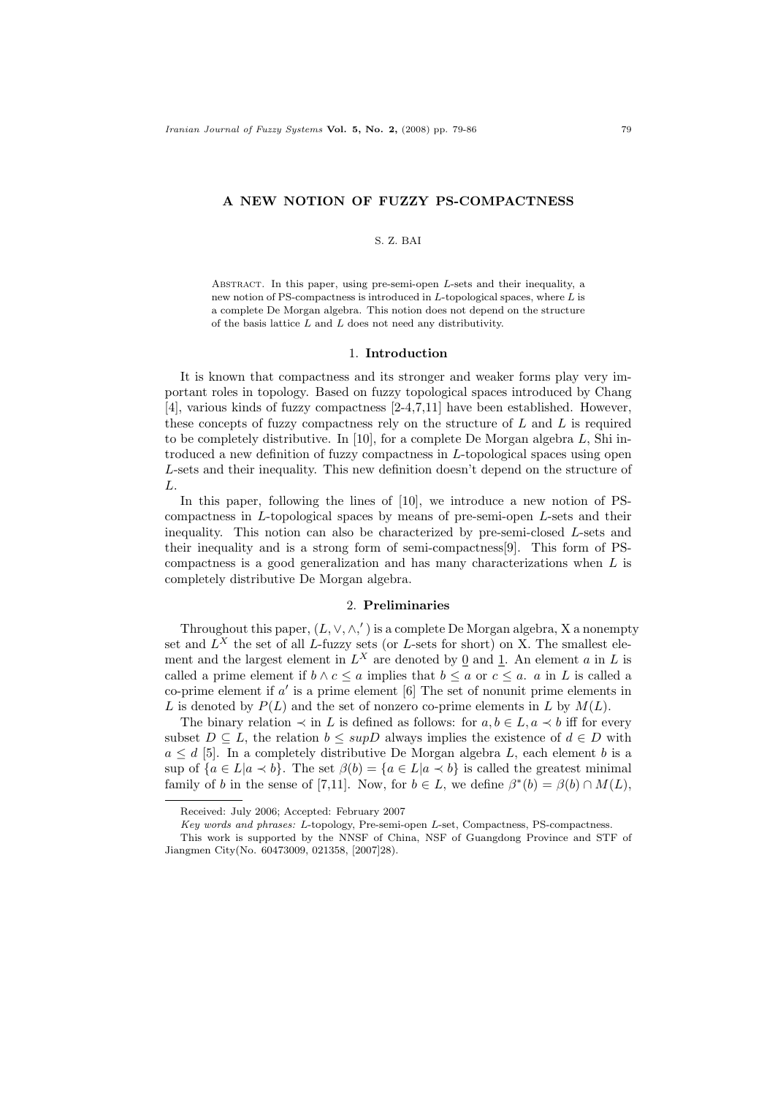## A NEW NOTION OF FUZZY PS-COMPACTNESS

## S. Z. BAI

ABSTRACT. In this paper, using pre-semi-open  $L$ -sets and their inequality, a new notion of PS-compactness is introduced in  $L$ -topological spaces, where  $L$  is a complete De Morgan algebra. This notion does not depend on the structure of the basis lattice  $L$  and  $L$  does not need any distributivity.

#### 1. Introduction

It is known that compactness and its stronger and weaker forms play very important roles in topology. Based on fuzzy topological spaces introduced by Chang [4], various kinds of fuzzy compactness [2-4,7,11] have been established. However, these concepts of fuzzy compactness rely on the structure of  $L$  and  $L$  is required to be completely distributive. In [10], for a complete De Morgan algebra  $L$ , Shi introduced a new definition of fuzzy compactness in L-topological spaces using open L-sets and their inequality. This new definition doesn't depend on the structure of L.

In this paper, following the lines of [10], we introduce a new notion of PScompactness in L-topological spaces by means of pre-semi-open L-sets and their inequality. This notion can also be characterized by pre-semi-closed L-sets and their inequality and is a strong form of semi-compactness[9]. This form of PScompactness is a good generalization and has many characterizations when L is completely distributive De Morgan algebra.

## 2. Preliminaries

Throughout this paper,  $(L, \vee, \wedge,')$  is a complete De Morgan algebra, X a nonempty set and  $L^X$  the set of all L-fuzzy sets (or L-sets for short) on X. The smallest element and the largest element in  $L^X$  are denoted by  $\underline{0}$  and  $\underline{1}$ . An element a in L is called a prime element if  $b \wedge c \le a$  implies that  $b \le a$  or  $c \le a$ . a in L is called a co-prime element if  $a'$  is a prime element  $[6]$  The set of nonunit prime elements in L is denoted by  $P(L)$  and the set of nonzero co-prime elements in L by  $M(L)$ .

The binary relation  $\prec$  in L is defined as follows: for  $a, b \in L$ ,  $a \prec b$  iff for every subset  $D \subseteq L$ , the relation  $b \leq \text{sup}D$  always implies the existence of  $d \in D$  with  $a \leq d$  [5]. In a completely distributive De Morgan algebra L, each element b is a sup of  ${a \in L | a \prec b}$ . The set  $\beta(b) = {a \in L | a \prec b}$  is called the greatest minimal family of b in the sense of [7,11]. Now, for  $b \in L$ , we define  $\beta^*(b) = \beta(b) \cap M(L)$ ,

Received: July 2006; Accepted: February 2007

Key words and phrases: L-topology, Pre-semi-open L-set, Compactness, PS-compactness.

This work is supported by the NNSF of China, NSF of Guangdong Province and STF of Jiangmen City(No. 60473009, 021358, [2007]28).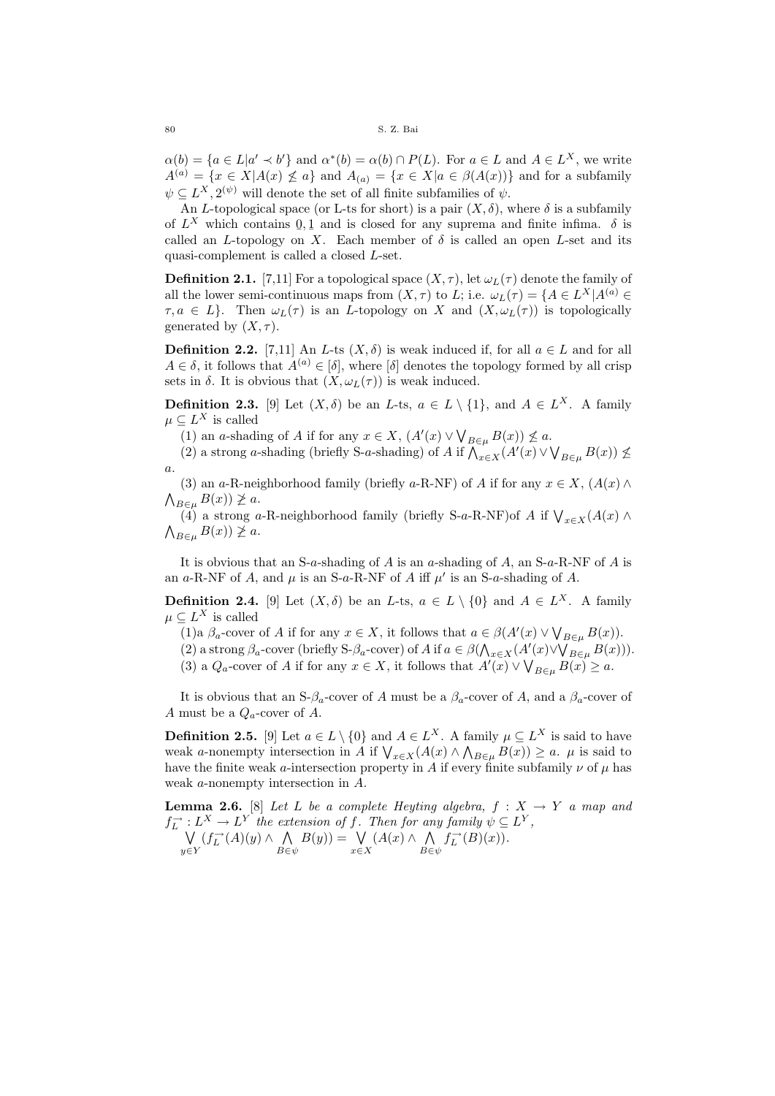$\alpha(b) = \{a \in L | a' \prec b'\}$  and  $\alpha^*(b) = \alpha(b) \cap P(L)$ . For  $a \in L$  and  $A \in L^X$ , we write  $A^{(a)} = \{x \in X | A(x) \not\leq a\}$  and  $A_{(a)} = \{x \in X | a \in \beta(A(x))\}$  and for a subfamily  $\psi \subseteq L^X, 2^{(\psi)}$  will denote the set of all finite subfamilies of  $\psi$ .

An L-topological space (or L-ts for short) is a pair  $(X, \delta)$ , where  $\delta$  is a subfamily of  $L^X$  which contains  $0, 1$  and is closed for any suprema and finite infima.  $\delta$  is called an L-topology on X. Each member of  $\delta$  is called an open L-set and its quasi-complement is called a closed L-set.

**Definition 2.1.** [7,11] For a topological space  $(X, \tau)$ , let  $\omega_L(\tau)$  denote the family of all the lower semi-continuous maps from  $(X, \tau)$  to L; i.e.  $\omega_L(\tau) = \{A \in L^X | A^{(a)} \in$  $\tau, a \in L$ . Then  $\omega_L(\tau)$  is an *L*-topology on *X* and  $(X, \omega_L(\tau))$  is topologically generated by  $(X, \tau)$ .

**Definition 2.2.** [7,11] An L-ts  $(X, \delta)$  is weak induced if, for all  $a \in L$  and for all  $A \in \delta$ , it follows that  $A^{(a)} \in [\delta]$ , where  $[\delta]$  denotes the topology formed by all crisp sets in  $\delta$ . It is obvious that  $(X, \omega_L(\tau))$  is weak induced.

**Definition 2.3.** [9] Let  $(X, \delta)$  be an L-ts,  $a \in L \setminus \{1\}$ , and  $A \in L^X$ . A family  $\mu \subseteq L^X$  is called

(1) an a-shading of A if for any  $x \in X$ ,  $(A'(x) \vee \bigvee_{B \in \mu} B(x)) \nleq a$ .

(2) a strong a-shading (briefly S-a-shading) of A if  $\bigwedge_{x\in X}(A'(x)\vee \bigvee_{B\in \mu} B(x)) \nleq$ a.

(3) an a-R-neighborhood family (briefly a-R-NF) of A if for any  $x \in X$ ,  $(A(x) \wedge$  $\bigwedge_{B\in\mu}B(x))\ngeq a.$ 

(4) a strong a-R-neighborhood family (briefly S-a-R-NF)of A if  $\bigvee_{x\in X}(A(x)\wedge$  $\bigwedge_{B\in\mu}B(x))\not\geq a.$ 

It is obvious that an S-a-shading of  $A$  is an a-shading of  $A$ , an S-a-R-NF of  $A$  is an a-R-NF of A, and  $\mu$  is an S-a-R-NF of A iff  $\mu'$  is an S-a-shading of A.

**Definition 2.4.** [9] Let  $(X, \delta)$  be an L-ts,  $a \in L \setminus \{0\}$  and  $A \in L^X$ . A family  $\mu \subseteq L^X$  is called

(1)a  $\beta_a$ -cover of A if for any  $x \in X$ , it follows that  $a \in \beta(A'(x) \vee \bigvee_{B \in \mu} B(x))$ .

(2) a strong  $\beta_a$ -cover (briefly S- $\beta_a$ -cover) of A if  $a \in \beta(\bigwedge_{x \in X} (A'(x) \vee \bigvee_{B \in \mu} B(x)))$ .

(3) a  $Q_a$ -cover of A if for any  $x \in X$ , it follows that  $A'(x) \vee \bigvee_{B \in \mu} B(x) \ge a$ .

It is obvious that an S- $\beta_a$ -cover of A must be a  $\beta_a$ -cover of A, and a  $\beta_a$ -cover of A must be a  $Q_a$ -cover of A.

**Definition 2.5.** [9] Let  $a \in L \setminus \{0\}$  and  $A \in L^X$ . A family  $\mu \subseteq L^X$  is said to have weak a-nonempty intersection in A if  $\bigvee_{x\in X}(A(x) \wedge \bigwedge_{B\in\mu} B(x)) \ge a$ .  $\mu$  is said to have the finite weak a-intersection property in A if every finite subfamily  $\nu$  of  $\mu$  has weak a-nonempty intersection in A.

**Lemma 2.6.** [8] Let L be a complete Heyting algebra,  $f : X \rightarrow Y$  a map and  $f_L^{\rightharpoonup}: L^X \to L^Y$  the extension of f. Then for any family  $\psi \subseteq L^Y$ , W y∈Y  $(f_L^{\rightarrow}(A)(y) \wedge \Lambda)$  $B \in \psi$  $B(y) = \bigvee$ x∈X  $(A(x) \wedge \wedge)$  $B \in \psi$  $f_L^{\rightarrow}(B)(x)$ .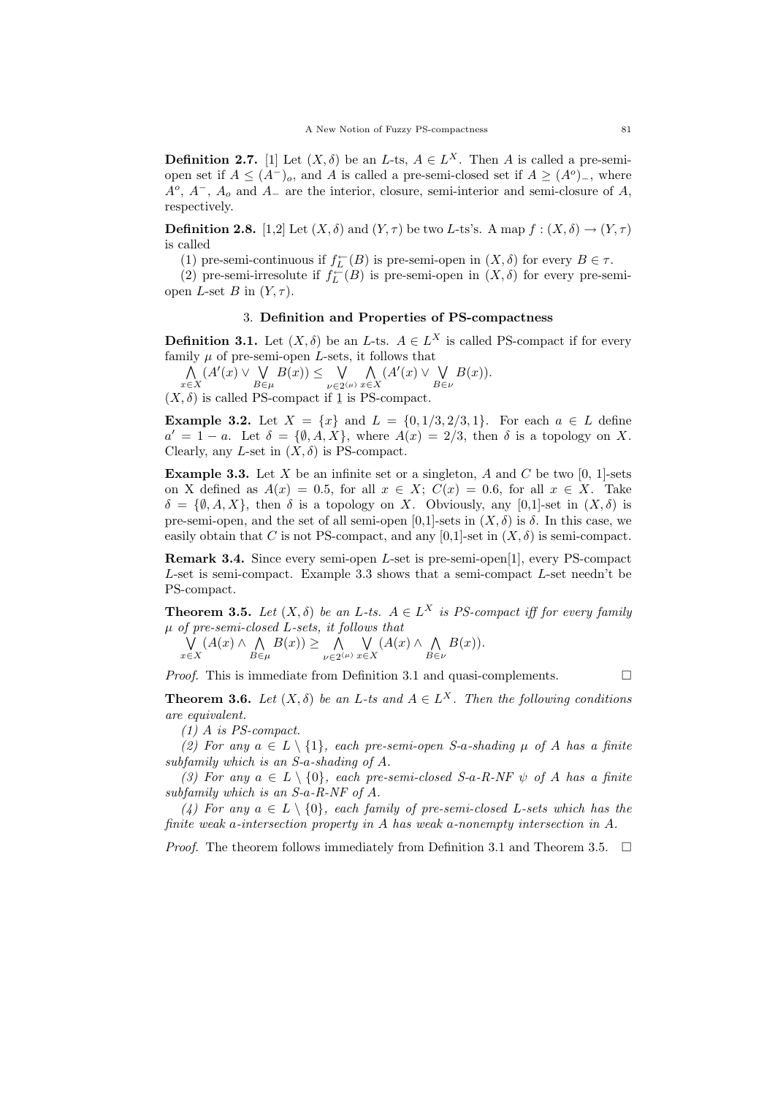**Definition 2.7.** [1] Let  $(X, \delta)$  be an L-ts,  $A \in L^X$ . Then A is called a pre-semiopen set if  $A \leq (A^{-})_o$ , and A is called a pre-semi-closed set if  $A \geq (A^o)$ , where  $A^o$ ,  $A^-$ ,  $A_o$  and  $A_-$  are the interior, closure, semi-interior and semi-closure of A, respectively.

**Definition 2.8.** [1,2] Let  $(X, \delta)$  and  $(Y, \tau)$  be two L-ts's. A map  $f : (X, \delta) \to (Y, \tau)$ is called

(1) pre-semi-continuous if  $f_L^{\leftarrow}(B)$  is pre-semi-open in  $(X, \delta)$  for every  $B \in \tau$ .

(2) pre-semi-irresolute if  $f_L^{\leftarrow}(B)$  is pre-semi-open in  $(X, \delta)$  for every pre-semiopen L-set B in  $(Y, \tau)$ .

## 3. Definition and Properties of PS-compactness

**Definition 3.1.** Let  $(X, \delta)$  be an L-ts.  $A \in L^X$  is called PS-compact if for every family  $\mu$  of pre-semi-open *L*-sets, it follows that

 $\wedge$  $(A'(x) \vee \bigvee$  $B(x)$ )  $\leq$   $\forall$  $\bigvee_{\nu\in 2^{(\mu)}} \bigwedge_{x\in \mathbb{Z}}$  $(A'(x) \vee \bigvee$  $B(x)$ ).

x∈X  $B \in \mu$ x∈X  $B \in \nu$  $(X, \delta)$  is called PS-compact if 1 is PS-compact.

**Example 3.2.** Let  $X = \{x\}$  and  $L = \{0, 1/3, 2/3, 1\}$ . For each  $a \in L$  define  $a' = 1 - a$ . Let  $\delta = {\emptyset, A, X}$ , where  $A(x) = 2/3$ , then  $\delta$  is a topology on X. Clearly, any L-set in  $(X, \delta)$  is PS-compact.

**Example 3.3.** Let X be an infinite set or a singleton, A and C be two  $[0, 1]$ -sets on X defined as  $A(x) = 0.5$ , for all  $x \in X$ ;  $C(x) = 0.6$ , for all  $x \in X$ . Take  $\delta = \{\emptyset, A, X\}$ , then  $\delta$  is a topology on X. Obviously, any [0,1]-set in  $(X, \delta)$  is pre-semi-open, and the set of all semi-open  $[0,1]$ -sets in  $(X, \delta)$  is  $\delta$ . In this case, we easily obtain that C is not PS-compact, and any [0,1]-set in  $(X, \delta)$  is semi-compact.

Remark 3.4. Since every semi-open L-set is pre-semi-open[1], every PS-compact L-set is semi-compact. Example 3.3 shows that a semi-compact L-set needn't be PS-compact.

**Theorem 3.5.** Let  $(X, \delta)$  be an L-ts.  $A \in L^X$  is PS-compact iff for every family  $\mu$  of pre-semi-closed L-sets, it follows that

$$
\bigvee_{x \in X} (A(x) \land \bigwedge_{B \in \mu} B(x)) \ge \bigwedge_{\nu \in 2^{(\mu)}} \bigvee_{x \in X} (A(x) \land \bigwedge_{B \in \nu} B(x)).
$$

*Proof.* This is immediate from Definition 3.1 and quasi-complements.  $\Box$ 

**Theorem 3.6.** Let  $(X, \delta)$  be an L-ts and  $A \in L^X$ . Then the following conditions are equivalent.

(1) A is PS-compact.

(2) For any  $a \in L \setminus \{1\}$ , each pre-semi-open S-a-shading  $\mu$  of A has a finite subfamily which is an S-a-shading of A.

(3) For any  $a \in L \setminus \{0\}$ , each pre-semi-closed S-a-R-NF  $\psi$  of A has a finite subfamily which is an S-a-R-NF of A.

(4) For any  $a \in L \setminus \{0\}$ , each family of pre-semi-closed L-sets which has the finite weak a-intersection property in A has weak a-nonempty intersection in A.

*Proof.* The theorem follows immediately from Definition 3.1 and Theorem 3.5.  $\Box$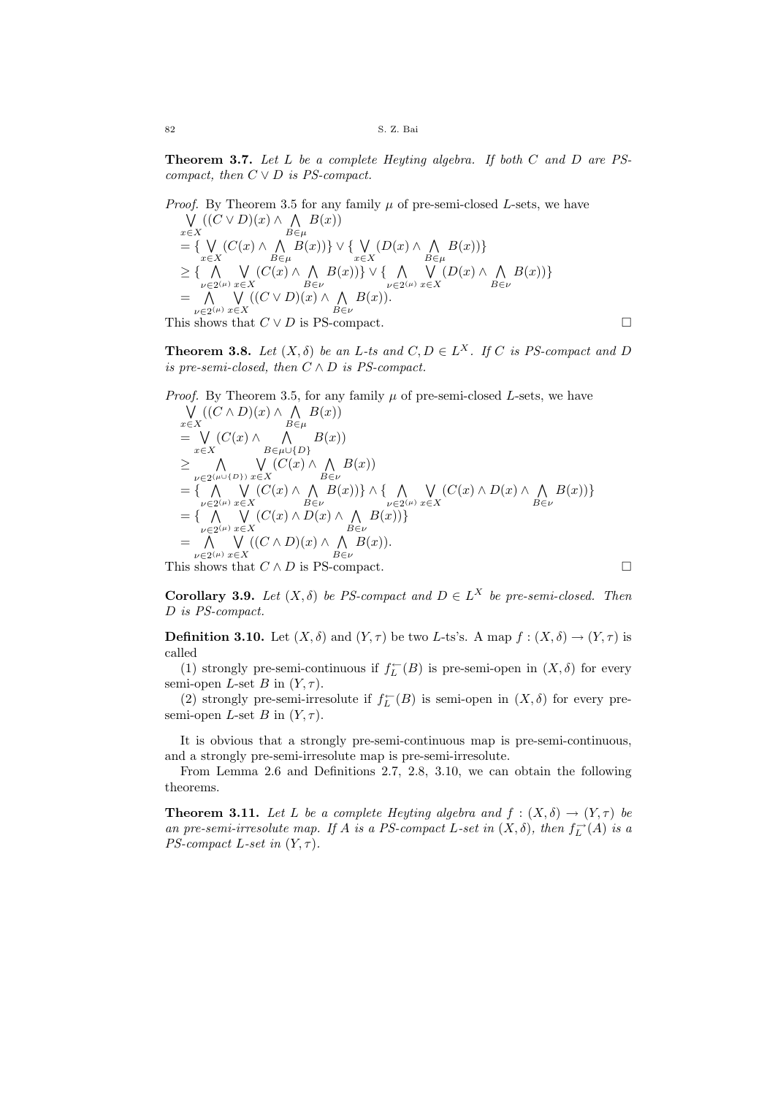Theorem 3.7. Let L be a complete Heyting algebra. If both C and D are PScompact, then  $C \vee D$  is PS-compact.

*Proof.* By Theorem 3.5 for any family  $\mu$  of pre-semi-closed L-sets, we have W x∈X  $((C \vee D)(x) \wedge \bigwedge$  $B \in \mu$  $B(x)$  $= \{ V$ x∈X  $(C(x) \wedge \wedge)$  $B \in \mu$  $B(x))\}\vee\{\ \bigvee$ x∈X  $(D(x) \wedge \wedge)$  $B \in \mu$  $B(x)\$  $\geq$  {  $\land$  $\bigwedge_{\nu\in 2^{(\mu)}}\bigvee_{x\in\mathbb{Z}}$ x∈X  $(C(x) \wedge \Lambda)$  $B \in \nu$  $B(x))\}\vee\{\Lambda$  $\bigwedge_{\nu\in 2^{(\mu)}}\bigvee_{x\in\mathbb{Z}}$ x∈X  $(D(x) \wedge \wedge)$  $B \in \nu$  $B(x)\$  $=$   $\wedge$  $\bigwedge_{\nu\in 2^{(\mu)}}\bigvee_{x\in\mathbb{Z}}$ x∈X  $((C \vee D)(x) \wedge \wedge)$  $B \in \nu$  $B(x)$ ). This shows that  $C \vee D$  is PS-compact.

**Theorem 3.8.** Let  $(X, \delta)$  be an L-ts and  $C, D \in L^X$ . If C is PS-compact and D is pre-semi-closed, then  $C \wedge D$  is PS-compact.

*Proof.* By Theorem 3.5, for any family 
$$
\mu
$$
 of pre-semi-closed *L*-sets, we have  
\n
$$
\bigvee_{x \in X} ((C \wedge D)(x) \wedge \bigwedge_{B \in \mu} B(x))
$$
\n
$$
= \bigvee_{x \in X} (C(x) \wedge \bigwedge_{B \in \mu \cup \{D\}} B(x))
$$
\n
$$
\geq \bigwedge_{\substack{\nu \in 2^{(\mu \cup \{D\})}} \bigvee_{x \in X} (C(x) \wedge \bigwedge_{B \in \nu} B(x))
$$
\n
$$
= \{\bigwedge_{\substack{\nu \in 2^{(\mu)} \\ \nu \in 2^{(\mu)}}} \bigvee_{x \in X} (C(x) \wedge \bigwedge_{B \in \nu} B(x)) \} \wedge \{\bigwedge_{\substack{\nu \in 2^{(\mu)} \\ \nu \in 2^{(\mu)}}} \bigvee_{x \in X} (C(x) \wedge D(x) \wedge \bigwedge_{B \in \nu} B(x)) \}
$$
\n
$$
= \{\bigwedge_{\substack{\nu \in 2^{(\mu)} \\ \nu \in 2^{(\mu)}}} \bigvee_{x \in X} (C(x) \wedge D(x) \wedge \bigwedge_{B \in \nu} B(x)) \}
$$
\nThis shows that  $C \wedge D$  is PS-compact.

**Corollary 3.9.** Let  $(X, \delta)$  be PS-compact and  $D \in L^X$  be pre-semi-closed. Then D is PS-compact.

**Definition 3.10.** Let  $(X, \delta)$  and  $(Y, \tau)$  be two L-ts's. A map  $f : (X, \delta) \to (Y, \tau)$  is called

(1) strongly pre-semi-continuous if  $f_L^{\leftarrow}(B)$  is pre-semi-open in  $(X, \delta)$  for every semi-open L-set B in  $(Y, \tau)$ .

(2) strongly pre-semi-irresolute if  $f_L^{\leftarrow}(B)$  is semi-open in  $(X, \delta)$  for every presemi-open L-set B in  $(Y, \tau)$ .

It is obvious that a strongly pre-semi-continuous map is pre-semi-continuous, and a strongly pre-semi-irresolute map is pre-semi-irresolute.

From Lemma 2.6 and Definitions 2.7, 2.8, 3.10, we can obtain the following theorems.

**Theorem 3.11.** Let L be a complete Heyting algebra and  $f : (X, \delta) \to (Y, \tau)$  be an pre-semi-irresolute map. If A is a PS-compact L-set in  $(X, \delta)$ , then  $f_L^{\rightarrow}(A)$  is a PS-compact L-set in  $(Y, \tau)$ .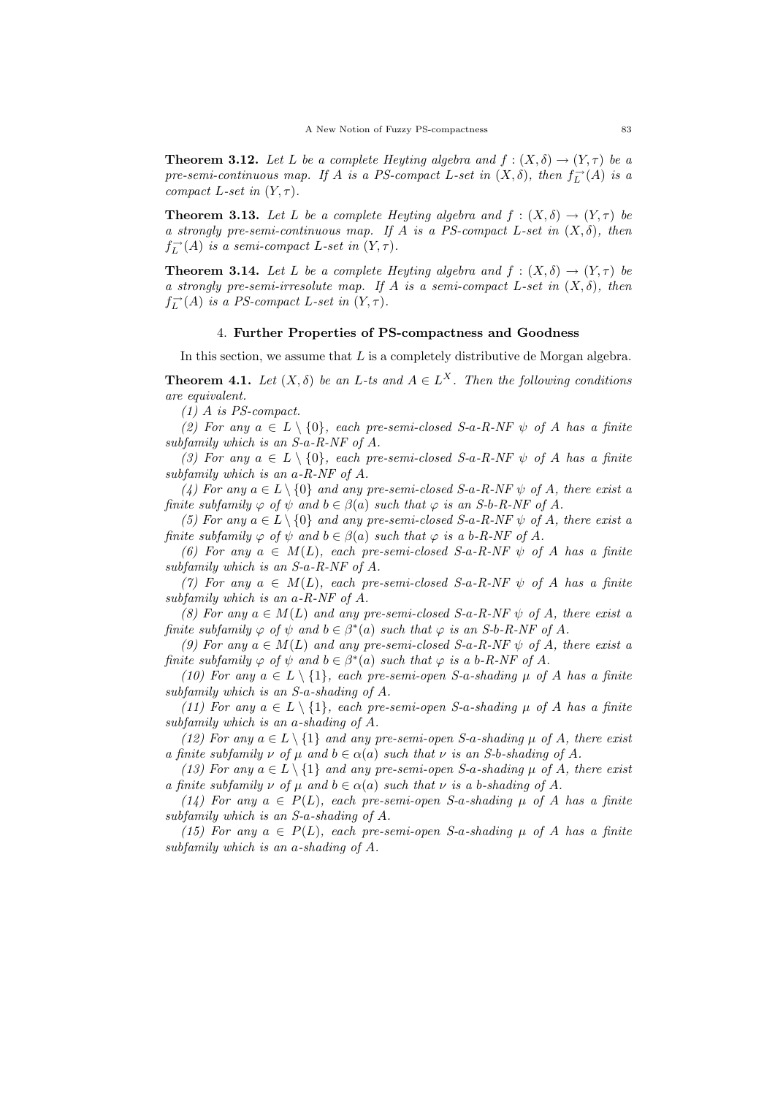**Theorem 3.12.** Let L be a complete Heyting algebra and  $f : (X, \delta) \to (Y, \tau)$  be a pre-semi-continuous map. If A is a PS-compact L-set in  $(X, \delta)$ , then  $f_L^{\rightarrow}(A)$  is a compact L-set in  $(Y, \tau)$ .

**Theorem 3.13.** Let L be a complete Heyting algebra and  $f : (X, \delta) \to (Y, \tau)$  be a strongly pre-semi-continuous map. If A is a PS-compact L-set in  $(X, \delta)$ , then  $f_L^{\rightarrow}(A)$  is a semi-compact L-set in  $(Y, \tau)$ .

**Theorem 3.14.** Let L be a complete Heyting algebra and  $f : (X, \delta) \to (Y, \tau)$  be a strongly pre-semi-irresolute map. If A is a semi-compact L-set in  $(X, \delta)$ , then  $f_L^{\rightarrow}(A)$  is a PS-compact L-set in  $(Y, \tau)$ .

## 4. Further Properties of PS-compactness and Goodness

In this section, we assume that  $L$  is a completely distributive de Morgan algebra.

**Theorem 4.1.** Let  $(X, \delta)$  be an L-ts and  $A \in L^X$ . Then the following conditions are equivalent.

(1) A is PS-compact.

(2) For any  $a \in L \setminus \{0\}$ , each pre-semi-closed S-a-R-NF  $\psi$  of A has a finite subfamily which is an S-a-R-NF of A.

(3) For any  $a \in L \setminus \{0\}$ , each pre-semi-closed S-a-R-NF  $\psi$  of A has a finite subfamily which is an a-R-NF of A.

(4) For any  $a \in L \setminus \{0\}$  and any pre-semi-closed S-a-R-NF  $\psi$  of A, there exist a finite subfamily  $\varphi$  of  $\psi$  and  $b \in \beta(a)$  such that  $\varphi$  is an S-b-R-NF of A.

(5) For any  $a \in L \setminus \{0\}$  and any pre-semi-closed S-a-R-NF  $\psi$  of A, there exist a finite subfamily  $\varphi$  of  $\psi$  and  $b \in \beta(a)$  such that  $\varphi$  is a b-R-NF of A.

(6) For any  $a \in M(L)$ , each pre-semi-closed S-a-R-NF  $\psi$  of A has a finite subfamily which is an S-a-R-NF of A.

(7) For any  $a \in M(L)$ , each pre-semi-closed S-a-R-NF  $\psi$  of A has a finite subfamily which is an a-R-NF of A.

(8) For any  $a \in M(L)$  and any pre-semi-closed S-a-R-NF  $\psi$  of A, there exist a finite subfamily  $\varphi$  of  $\psi$  and  $b \in \beta^*(a)$  such that  $\varphi$  is an S-b-R-NF of A.

(9) For any  $a \in M(L)$  and any pre-semi-closed S-a-R-NF  $\psi$  of A, there exist a finite subfamily  $\varphi$  of  $\psi$  and  $b \in \beta^*(a)$  such that  $\varphi$  is a b-R-NF of A.

(10) For any  $a \in L \setminus \{1\}$ , each pre-semi-open S-a-shading  $\mu$  of A has a finite subfamily which is an S-a-shading of A.

(11) For any  $a \in L \setminus \{1\}$ , each pre-semi-open S-a-shading  $\mu$  of A has a finite subfamily which is an a-shading of A.

(12) For any  $a \in L \setminus \{1\}$  and any pre-semi-open S-a-shading  $\mu$  of A, there exist a finite subfamily  $\nu$  of  $\mu$  and  $b \in \alpha(a)$  such that  $\nu$  is an S-b-shading of A.

(13) For any  $a \in L \setminus \{1\}$  and any pre-semi-open S-a-shading  $\mu$  of A, there exist a finite subfamily  $\nu$  of  $\mu$  and  $b \in \alpha(a)$  such that  $\nu$  is a b-shading of A.

(14) For any  $a \in P(L)$ , each pre-semi-open S-a-shading  $\mu$  of A has a finite subfamily which is an S-a-shading of A.

(15) For any  $a \in P(L)$ , each pre-semi-open S-a-shading  $\mu$  of A has a finite subfamily which is an a-shading of A.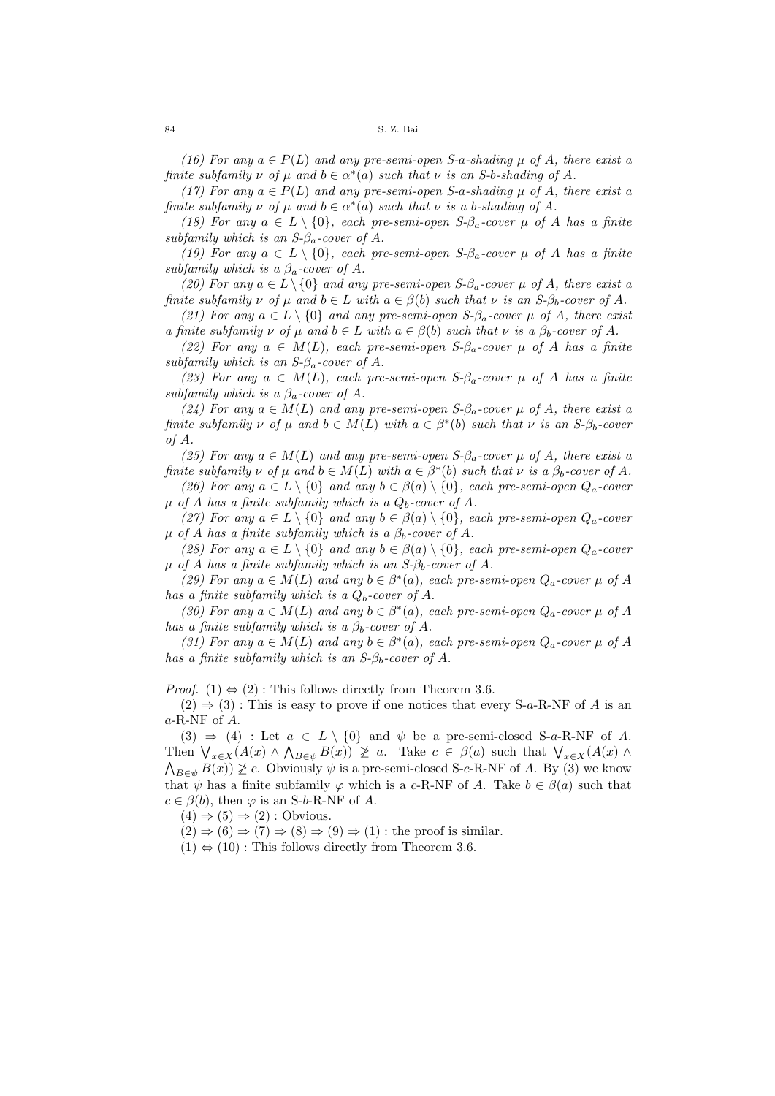(16) For any  $a \in P(L)$  and any pre-semi-open S-a-shading  $\mu$  of A, there exist a finite subfamily  $\nu$  of  $\mu$  and  $b \in \alpha^*(a)$  such that  $\nu$  is an S-b-shading of A.

(17) For any  $a \in P(L)$  and any pre-semi-open S-a-shading  $\mu$  of A, there exist a finite subfamily  $\nu$  of  $\mu$  and  $b \in \alpha^*(a)$  such that  $\nu$  is a b-shading of A.

(18) For any  $a \in L \setminus \{0\}$ , each pre-semi-open  $S$ - $\beta_a$ -cover  $\mu$  of A has a finite subfamily which is an  $S$ - $\beta$ <sub>a</sub>-cover of A.

(19) For any  $a \in L \setminus \{0\}$ , each pre-semi-open  $S$ - $\beta_a$ -cover  $\mu$  of A has a finite subfamily which is a  $\beta_a$ -cover of A.

(20) For any  $a \in L \setminus \{0\}$  and any pre-semi-open S- $\beta_a$ -cover  $\mu$  of A, there exist a finite subfamily  $\nu$  of  $\mu$  and  $b \in L$  with  $a \in \beta(b)$  such that  $\nu$  is an  $S$ - $\beta_b$ -cover of A.

(21) For any  $a \in L \setminus \{0\}$  and any pre-semi-open S- $\beta_a$ -cover  $\mu$  of A, there exist a finite subfamily  $\nu$  of  $\mu$  and  $b \in L$  with  $a \in \beta(b)$  such that  $\nu$  is a  $\beta_b$ -cover of A.

(22) For any  $a \in M(L)$ , each pre-semi-open  $S$ - $\beta_a$ -cover  $\mu$  of A has a finite subfamily which is an  $S$ - $\beta_a$ -cover of A.

(23) For any  $a \in M(L)$ , each pre-semi-open S- $\beta_a$ -cover  $\mu$  of A has a finite subfamily which is a  $\beta_a$ -cover of A.

(24) For any  $a \in M(L)$  and any pre-semi-open  $S$ - $\beta_a$ -cover  $\mu$  of A, there exist a finite subfamily  $\nu$  of  $\mu$  and  $b \in M(L)$  with  $a \in \beta^*(b)$  such that  $\nu$  is an  $S$ - $\beta_b$ -cover of A.

(25) For any  $a \in M(L)$  and any pre-semi-open  $S$ - $\beta_a$ -cover  $\mu$  of A, there exist a finite subfamily  $\nu$  of  $\mu$  and  $b \in M(L)$  with  $a \in \beta^*(b)$  such that  $\nu$  is a  $\beta_b$ -cover of A.

(26) For any  $a \in L \setminus \{0\}$  and any  $b \in \beta(a) \setminus \{0\}$ , each pre-semi-open  $Q_a$ -cover  $\mu$  of A has a finite subfamily which is a  $Q_b$ -cover of A.

(27) For any  $a \in L \setminus \{0\}$  and any  $b \in \beta(a) \setminus \{0\}$ , each pre-semi-open  $Q_a$ -cover  $\mu$  of A has a finite subfamily which is a  $\beta_b$ -cover of A.

(28) For any  $a \in L \setminus \{0\}$  and any  $b \in \beta(a) \setminus \{0\}$ , each pre-semi-open  $Q_a$ -cover  $\mu$  of A has a finite subfamily which is an S- $\beta_b$ -cover of A.

(29) For any  $a \in M(L)$  and any  $b \in \beta^*(a)$ , each pre-semi-open  $Q_a$ -cover  $\mu$  of A has a finite subfamily which is a  $Q_b$ -cover of A.

(30) For any  $a \in M(L)$  and any  $b \in \beta^*(a)$ , each pre-semi-open  $Q_a$ -cover  $\mu$  of A has a finite subfamily which is a  $\beta_b$ -cover of A.

(31) For any  $a \in M(L)$  and any  $b \in \beta^*(a)$ , each pre-semi-open  $Q_a$ -cover  $\mu$  of A has a finite subfamily which is an  $S-\beta_b$ -cover of A.

*Proof.* (1)  $\Leftrightarrow$  (2): This follows directly from Theorem 3.6.

 $(2) \Rightarrow (3)$ : This is easy to prove if one notices that every S-a-R-NF of A is an a-R-NF of A.

(3)  $\Rightarrow$  (4) : Let  $a \in L \setminus \{0\}$  and  $\psi$  be a pre-semi-closed S-a-R-NF of A. Then  $\bigvee_{x\in X}(A(x)\wedge \bigwedge_{B\in\psi}B(x))\not\geq a$ . Take  $c\in\beta(a)$  such that  $\bigvee_{x\in X}(A(x)\wedge B(x))$  $\bigwedge_{B\in\psi}B(x)\big)\not\geq c.$  Obviously  $\psi$  is a pre-semi-closed S-c-R-NF of A. By (3) we know that  $\psi$  has a finite subfamily  $\varphi$  which is a c-R-NF of A. Take  $b \in \beta(a)$  such that  $c \in \beta(b)$ , then  $\varphi$  is an S-b-R-NF of A.

 $(4) \Rightarrow (5) \Rightarrow (2)$ : Obvious.

 $(2) \Rightarrow (6) \Rightarrow (7) \Rightarrow (8) \Rightarrow (9) \Rightarrow (1)$ : the proof is similar.

 $(1) \Leftrightarrow (10)$ : This follows directly from Theorem 3.6.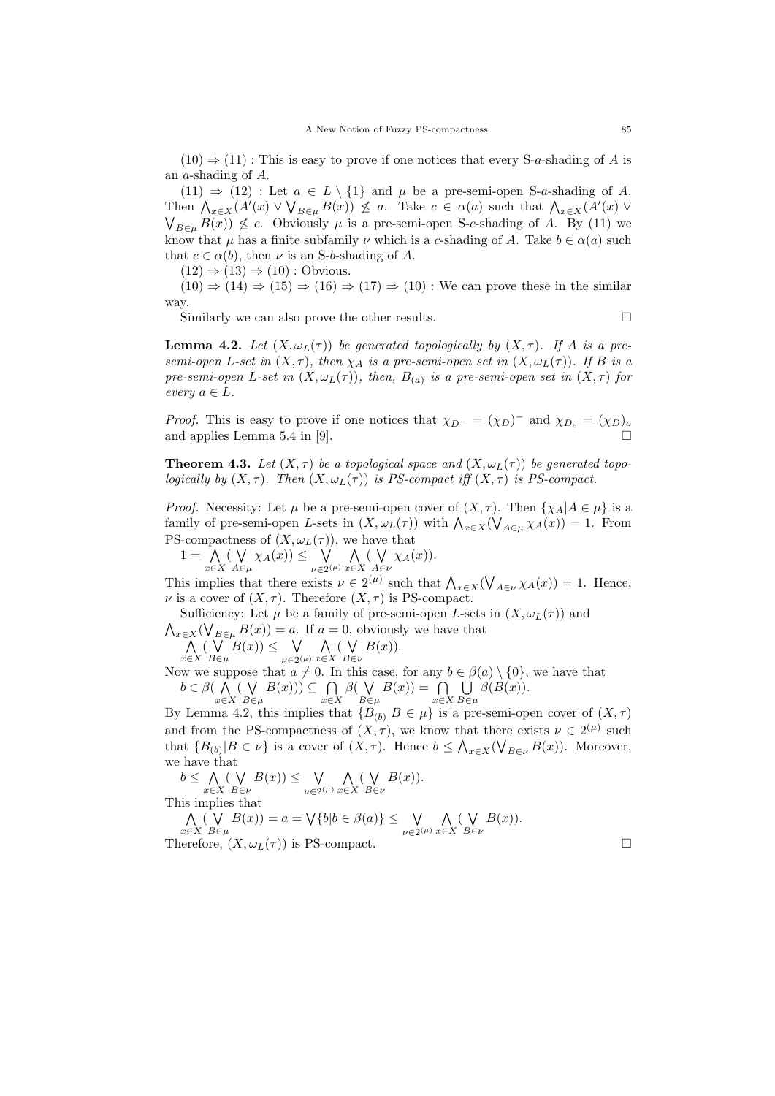$(10) \Rightarrow (11)$ : This is easy to prove if one notices that every S-a-shading of A is an a-shading of A.

(11)  $\Rightarrow$  (12) : Let  $a \in L \setminus \{1\}$  and  $\mu$  be a pre-semi-open S-a-shading of A. Then  $\bigwedge_{x\in X}(A'(x)\vee\bigvee_{B\in\mu}B(x))\nleq a$ . Take  $c\in\alpha(a)$  such that  $\bigwedge_{x\in X}(A'(x)\vee\bigvee_{B\in\mu}B(x))$  $\bigvee_{B \in \mu} B(x) \bigotimes c$ . Obviously  $\mu$  is a pre-semi-open S-c-shading of A. By (11) we know that  $\mu$  has a finite subfamily  $\nu$  which is a c-shading of A. Take  $b \in \alpha(a)$  such that  $c \in \alpha(b)$ , then  $\nu$  is an S-b-shading of A.

 $(12) \Rightarrow (13) \Rightarrow (10)$ : Obvious.

 $(10) \Rightarrow (14) \Rightarrow (15) \Rightarrow (16) \Rightarrow (17) \Rightarrow (10)$  : We can prove these in the similar way.

Similarly we can also prove the other results.

**Lemma 4.2.** Let  $(X, \omega_L(\tau))$  be generated topologically by  $(X, \tau)$ . If A is a presemi-open L-set in  $(X, \tau)$ , then  $\chi_A$  is a pre-semi-open set in  $(X, \omega_L(\tau))$ . If B is a pre-semi-open L-set in  $(X, \omega_L(\tau))$ , then,  $B_{(a)}$  is a pre-semi-open set in  $(X, \tau)$  for every  $a \in L$ .

*Proof.* This is easy to prove if one notices that  $\chi_{D} = (\chi_D)^{-1}$  and  $\chi_{D_o} = (\chi_D)_{o}$ and applies Lemma 5.4 in [9].

**Theorem 4.3.** Let  $(X, \tau)$  be a topological space and  $(X, \omega_L(\tau))$  be generated topologically by  $(X, \tau)$ . Then  $(X, \omega_L(\tau))$  is PS-compact iff  $(X, \tau)$  is PS-compact.

*Proof.* Necessity: Let  $\mu$  be a pre-semi-open cover of  $(X, \tau)$ . Then  $\{\chi_A | A \in \mu\}$  is a family of pre-semi-open L-sets in  $(X, \omega_L(\tau))$  with  $\bigwedge_{x \in X} (\bigvee_{A \in \mu} \chi_A(x)) = 1$ . From PS-compactness of  $(X, \omega_L(\tau))$ , we have that

 $1 = \Lambda$ x∈X  $($   $\vee$  $\bigvee_{A \in \mu} \chi_A(x)$ )  $\leq \bigvee_{\nu \in 2^{(n)}}$  $\bigvee_{\nu\in 2^{(\mu)}} \bigwedge_{x\in \mathbb{Z}}$ x∈X ( W  $\bigvee_{A\in\nu}\chi_A(x)).$ 

This implies that there exists  $\nu \in 2^{(\mu)}$  such that  $\bigwedge_{x \in X} (\bigvee_{A \in \nu} \chi_A(x)) = 1$ . Hence,  $\nu$  is a cover of  $(X, \tau)$ . Therefore  $(X, \tau)$  is PS-compact.

Sufficiency: Let  $\mu$  be a family of pre-semi-open L-sets in  $(X, \omega_L(\tau))$  and  $\bigwedge_{x\in X}(\bigvee_{B\in\mu}B(x))=a.$  If  $a=0$ , obviously we have that

 $\wedge$ x∈X  $($   $\vee$  $B \in \mu$  $B(x)$ )  $\leq$   $\forall$  $\bigvee_{\nu\in 2^{(\mu)}} \bigwedge_{x\in \mathbb{Z}}$ x∈X ( W B∈ν  $B(x)$ ).

Now we suppose that  $a \neq 0$ . In this case, for any  $b \in \beta(a) \setminus \{0\}$ , we have that  $b \in \beta(\Lambda)$ x∈X ( W  $B \in \mu$  $B(x))$ )  $\subseteq \bigcap$ x∈X  $\beta$ (V  $B \in \mu$  $B(x)) = \bigcap$ x∈X  $\cup$  $B \in \mu$  $\beta(B(x)).$ 

By Lemma 4.2, this implies that  ${B_{(b)}|B \in \mu}$  is a pre-semi-open cover of  $(X, \tau)$ and from the PS-compactness of  $(X, \tau)$ , we know that there exists  $\nu \in 2^{(\mu)}$  such that  $\{B_{(b)}|B \in \nu\}$  is a cover of  $(X, \tau)$ . Hence  $b \leq \bigwedge_{x \in X} (\bigvee_{B \in \nu} B(x))$ . Moreover, we have that

 $b \leq \Lambda$ x∈X ( W B∈ν  $B(x)$ )  $\leq$   $\forall$  $\bigvee_{\nu\in 2^{(\mu)}} \bigwedge_{x\in \mathbb{Z}}$ x∈X ( W B∈ν  $B(x)$ ). This implies that

 $\wedge$ x∈X  $($   $\vee$  $B \in \mu$  $B(x) = a = \bigvee \{b | b \in \beta(a)\} \leq \bigvee$  $\bigvee_{\nu\in 2^{(\mu)}} \bigwedge_{x\in \mathbb{Z}}$ x∈X ( W  $B \in \nu$  $B(x)$ ). Therefore,  $(X, \omega_L(\tau))$  is PS-compact.